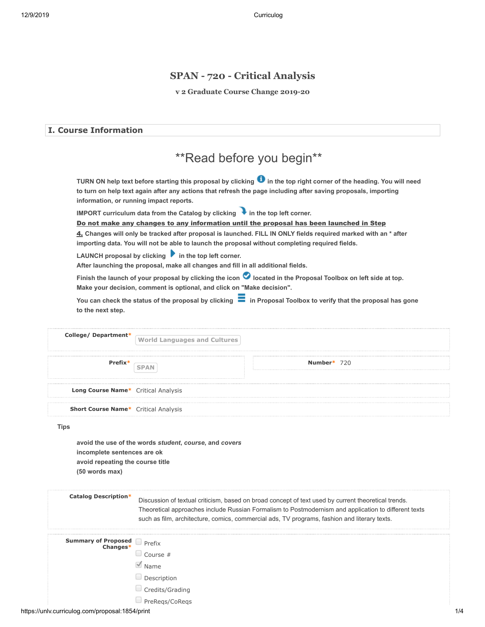# **SPAN - 720 - Critical Analysis**

**v 2 Graduate Course Change 2019-20**

# **I. Course Information**

# \*\*Read before you begin\*\*

TURN ON help text before starting this proposal by clicking  $\bullet$  in the top right corner of the heading. You will need **to turn on help text again after any actions that refresh the page including after saving proposals, importing information, or running impact reports.**

**IMPORT** curriculum data from the Catalog by clicking  $\bullet$  in the top left corner.

Do not make any changes to any information until the proposal has been launched in Step

**Changes will only be tracked after proposal is launched. FILL IN ONLY fields required marked with an \* after** 4. **importing data. You will not be able to launch the proposal without completing required fields.** 

LAUNCH proposal by clicking **in** the top left corner.

**After launching the proposal, make all changes and fill in all additional fields.** 

Finish the launch of your proposal by clicking the icon  $\bullet$  located in the Proposal Toolbox on left side at top. **Make your decision, comment is optional, and click on "Make decision".**

You can check the status of the proposal by clicking **in** Proposal Toolbox to verify that the proposal has gone **to the next step.**

| College/ Department*                                                              | <b>World Languages and Cultures</b>                                                                                       |                                                                                                                                                                                                                                                                                                             |
|-----------------------------------------------------------------------------------|---------------------------------------------------------------------------------------------------------------------------|-------------------------------------------------------------------------------------------------------------------------------------------------------------------------------------------------------------------------------------------------------------------------------------------------------------|
| Prefix*                                                                           | <b>SPAN</b>                                                                                                               | Number* 720                                                                                                                                                                                                                                                                                                 |
| Long Course Name* Critical Analysis                                               |                                                                                                                           |                                                                                                                                                                                                                                                                                                             |
| Short Course Name* Critical Analysis                                              |                                                                                                                           |                                                                                                                                                                                                                                                                                                             |
| <b>Tips</b>                                                                       |                                                                                                                           |                                                                                                                                                                                                                                                                                                             |
| incomplete sentences are ok<br>avoid repeating the course title<br>(50 words max) | avoid the use of the words student, course, and covers                                                                    |                                                                                                                                                                                                                                                                                                             |
| <b>Catalog Description*</b>                                                       |                                                                                                                           | Discussion of textual criticism, based on broad concept of text used by current theoretical trends.<br>Theoretical approaches include Russian Formalism to Postmodernism and application to different texts<br>such as film, architecture, comics, commercial ads, TV programs, fashion and literary texts. |
| <b>Summary of Proposed Changes*</b>                                               | Prefix<br>$\Box$ Course #<br>$\blacksquare$ Name<br>$\Box$ Description<br>$\Box$ Credits/Grading<br>$\Box$ PreRegs/CoRegs |                                                                                                                                                                                                                                                                                                             |
| https://unlv.curriculog.com/proposal:1854/print                                   |                                                                                                                           |                                                                                                                                                                                                                                                                                                             |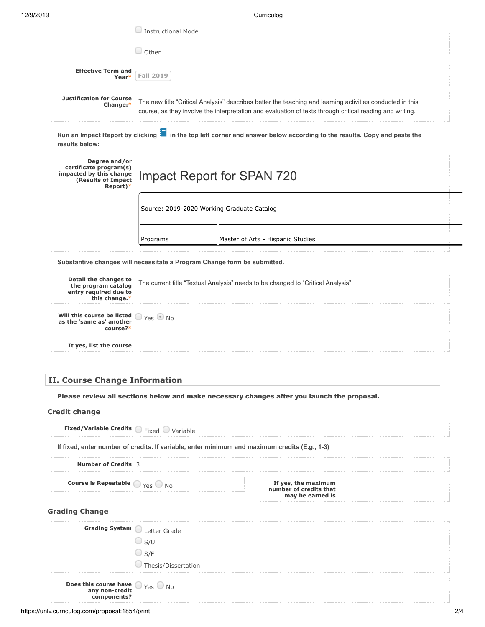|                                                         | $\Box$ Instructional Mode                                                                                                                      |  |
|---------------------------------------------------------|------------------------------------------------------------------------------------------------------------------------------------------------|--|
|                                                         | ∩ther                                                                                                                                          |  |
| <b>Effective Term and Year*</b> $\sqrt{\frac{1}{2019}}$ |                                                                                                                                                |  |
|                                                         | Justification for Course<br>Change:* The new title "Critical Analysis" describes better the teaching and learning activities conducted in this |  |

Run an Impact Report by clicking **in** the top left corner and answer below according to the results. Copy and paste the **results below:**

| Degree and/or<br>certificate program(s)<br>$Report)*$ | impacted by this change Impact Report for SPAN 720 |  |  |
|-------------------------------------------------------|----------------------------------------------------|--|--|
|                                                       | Source: 2019-2020 Working Graduate Catalog         |  |  |
|                                                       | Master of Arts - Hispanic Studies<br>IPrograms     |  |  |

course, as they involve the interpretation and evaluation of texts through critical reading and writing.

**Substantive changes will necessitate a Program Change form be submitted.**

| Detail the changes to<br>the program catalog<br>entry required due to<br>this change. <sup>*</sup>              | The current title "Textual Analysis" needs to be changed to "Critical Analysis" |  |
|-----------------------------------------------------------------------------------------------------------------|---------------------------------------------------------------------------------|--|
| Will this course be listed $\bigcirc$ $\gamma$ es $\bigcirc$ No as the 'same as' another<br>course <sup>2</sup> |                                                                                 |  |
| It yes, list the course                                                                                         |                                                                                 |  |

## **II. Course Change Information**

Please review all sections below and make necessary changes after you launch the proposal.

#### **Credit change**

| <b>Fixed/Variable Credits</b> | Fixed | Variable |
|-------------------------------|-------|----------|
|-------------------------------|-------|----------|

**If fixed, enter number of credits. If variable, enter minimum and maximum credits (E.g., 1-3)**

| <b>Number of Credits 3</b>                                      |                |                                                                   |
|-----------------------------------------------------------------|----------------|-------------------------------------------------------------------|
| Course is Repeatable $\bigcirc_{\mathsf{Yes}}$ $\triangleright$ | N <sub>0</sub> | If yes, the maximum<br>number of credits that<br>may be earned is |

#### **Grading Change**

| Grading System Letter Grade                                                     |                     |  |
|---------------------------------------------------------------------------------|---------------------|--|
|                                                                                 |                     |  |
|                                                                                 |                     |  |
|                                                                                 | Thesis/Dissertation |  |
| Does this course have $\bigcirc$ Yes $\bigcirc$ No<br>any non-credit<br>compone |                     |  |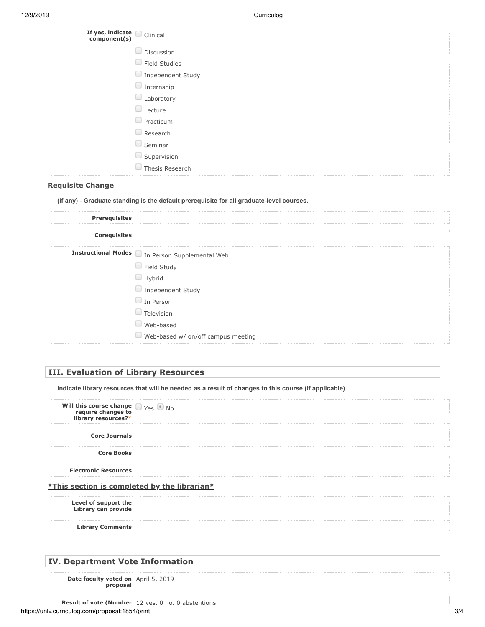| If yes, indicate clinical<br>component(s) |                        |
|-------------------------------------------|------------------------|
|                                           | Discussion             |
|                                           | $\Box$ Field Studies   |
|                                           | Independent Study      |
|                                           | $\Box$ Internship      |
|                                           | $\Box$ Laboratory      |
|                                           | $\Box$ Lecture         |
|                                           | $\Box$ Practicum       |
|                                           | $\Box$ Research        |
|                                           | $\Box$ Seminar         |
|                                           | $\Box$ Supervision     |
|                                           | $\Box$ Thesis Research |

#### **Requisite Change**

**(if any) - Graduate standing is the default prerequisite for all graduate-level courses.**

| <b>Prerequisites</b> |                                                                                                                                                     |
|----------------------|-----------------------------------------------------------------------------------------------------------------------------------------------------|
| <b>Corequisites</b>  |                                                                                                                                                     |
|                      | Instructional Modes In Person Supplemental Web<br>$\Box$ Field Study<br>$\Box$ Hybrid<br>Independent Study<br>$\Box$ In Person<br>$\Box$ Television |
|                      | Web-based<br>$\Box$ Web-based w/ on/off campus meeting                                                                                              |

# **III. Evaluation of Library Resources**

**Indicate library resources that will be needed as a result of changes to this course (if applicable)**

| Will this course change $\bigcirc$ Yes $\bigcirc$ No<br>require changes to<br>library resources?* |  |
|---------------------------------------------------------------------------------------------------|--|
| <b>Core Journals</b>                                                                              |  |
| <b>Core Books</b>                                                                                 |  |
| <b>Electronic Resources</b>                                                                       |  |

#### **\*This section is completed by the librarian\***

**Level of support the Library can provide**

**Library Comments**

# **IV. Department Vote Information**

**Date faculty voted on** April 5, 2019 **proposal**